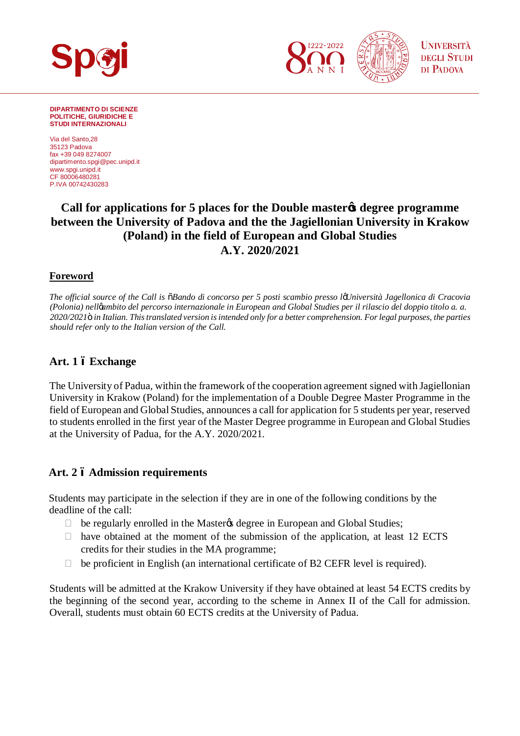

**DIPARTIMENTO DI SCIENZE POLITICHE, GIURIDICHE E STUDI INTERNAZIONALI**

Via del Santo,28 35123 Padova fax +39 049 8274007 [dipartimento.spgi@pec.unipd.it](mailto:dipartimento.spgi@pec.unipd.it) www.spgi.unipd.it CF 80006480281 P.IVA 00742430283

# **Call for applications for 5 places for the Double master's degree programme between the University of Padova and the the Jagiellonian University in Krakow (Poland) in the field of European and Global Studies A.Y. 2020/2021**

### **Foreword**

*The official source of the Call is "Bando di concorso per 5 posti scambio presso l'Università Jagellonica di Cracovia (Polonia) nell'ambito del percorso internazionale in European and Global Studies per il rilascio del doppio titolo a. a. 2020/2021" in Italian. This translated version is intended only for a better comprehension. For legal purposes, the parties should refer only to the Italian version of the Call.*

## **Art. 1 – Exchange**

The University of Padua, within the framework of the cooperation agreement signed with Jagiellonian University in Krakow (Poland) for the implementation of a Double Degree Master Programme in the field of European and Global Studies, announces a call for application for 5 students per year, reserved to students enrolled in the first year of the Master Degree programme in European and Global Studies at the University of Padua, for the A.Y. 2020/2021.

## **Art. 2 – Admission requirements**

Students may participate in the selection if they are in one of the following conditions by the deadline of the call:

be regularly enrolled in the Master & degree in European and Global Studies;

 have obtained at the moment of the submission of the application, at least 12 ECTS credits for their studies in the MA programme;

be proficient in English (an international certificate of B2 CEFR level is required).

Students will be admitted at the Krakow University if they have obtained at least 54 ECTS credits by the beginning of the second year, according to the scheme in Annex II of the Call for admission. Overall, students must obtain 60 ECTS credits at the University of Padua.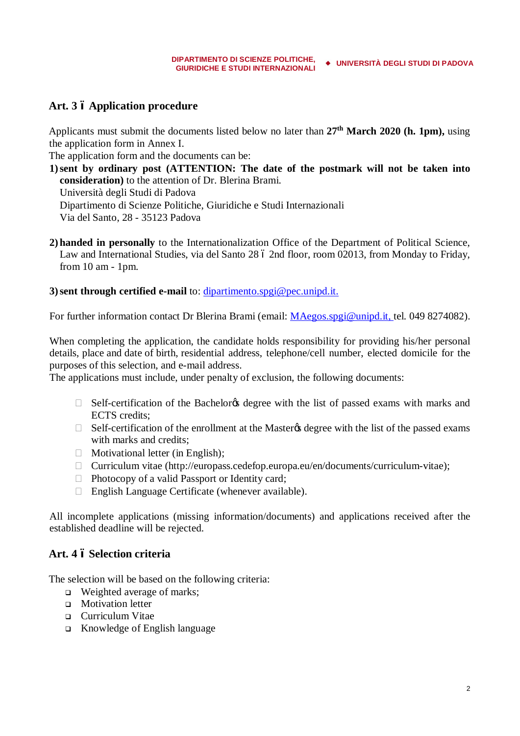# **Art. 3 – Application procedure**

Applicants must submit the documents listed below no later than **27th March 2020 (h. 1pm),** using the application form in Annex I.

The application form and the documents can be:

**1)sent by ordinary post (ATTENTION: The date of the postmark will not be taken into consideration)** to the attention of Dr. Blerina Brami.

Università degli Studi di Padova

Dipartimento di Scienze Politiche, Giuridiche e Studi Internazionali

Via del Santo, 28 - 35123 Padova

**2) handed in personally** to the Internationalization Office of the Department of Political Science, Law and International Studies, via del Santo 28 ó 2nd floor, room 02013, from Monday to Friday, from 10 am - 1pm.

**3)sent through certified e-mail** to: [dipartimento.spgi@pec.unipd.it.](mailto:dipartimento.spgi@pec.unipd.it)

For further information contact Dr Blerina Brami (email: *[MAegos.spgi@unipd.it,](mailto:MAegos.spgi@unipd.it) tel.* 049 8274082).

When completing the application, the candidate holds responsibility for providing his/her personal details, place and date of birth, residential address, telephone/cell number, elected domicile for the purposes of this selection, and e-mail address.

The applications must include, under penalty of exclusion, the following documents:

Self-certification of the Bachelor ts degree with the list of passed exams with marks and ECTS credits;

Self-certification of the enrollment at the Master tegree with the list of the passed exams with marks and credits;

Motivational letter (in English);

Curriculum vitae ([http://europass.cedefop.europa.eu/en/documents/curriculum-vitae\)](http://europass.cedefop.europa.eu/en/documents/curriculum-vitae);

Photocopy of a valid Passport or Identity card;

English Language Certificate (whenever available).

All incomplete applications (missing information/documents) and applications received after the established deadline will be rejected.

### **Art. 4 – Selection criteria**

The selection will be based on the following criteria:

- $\Box$  Weighted average of marks;
- **q** Motivation letter
- <sup>q</sup> Curriculum Vitae
- <sup>q</sup> Knowledge of English language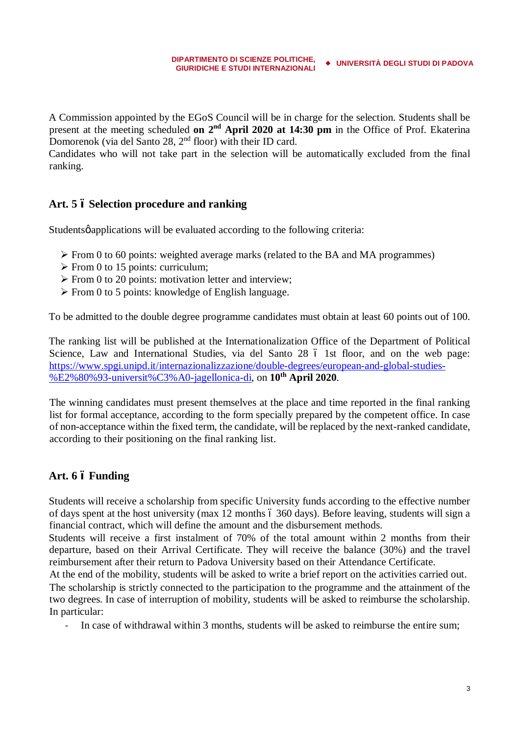A Commission appointed by the EGoS Council will be in charge for the selection. Students shall be present at the meeting scheduled **on 2nd April 2020 at 14:30 pm** in the Office of Prof. Ekaterina Domorenok (via del Santo 28, 2<sup>nd</sup> floor) with their ID card.

Candidates who will not take part in the selection will be automatically excluded from the final ranking.

## **Art. 5 – Selection procedure and ranking**

Studentsø applications will be evaluated according to the following criteria:

- $\triangleright$  From 0 to 60 points: weighted average marks (related to the BA and MA programmes)
- $\triangleright$  From 0 to 15 points: curriculum;
- $\triangleright$  From 0 to 20 points: motivation letter and interview;
- $\triangleright$  From 0 to 5 points: knowledge of English language.

To be admitted to the double degree programme candidates must obtain at least 60 points out of 100.

The ranking list will be published at the Internationalization Office of the Department of Political Science, Law and International Studies, via del Santo 28 ó 1st floor, and on the web page: [https://www.spgi.unipd.it/internazionalizzazione/double-degrees/european-and-global-studies-](https://www.spgi.unipd.it/internazionalizzazione/double-degrees/european-and-global-studies-%E2%80%93-universit%C3%A0-jagellonica-di) [%E2%80%93-universit%C3%A0-jagellonica-di,](https://www.spgi.unipd.it/internazionalizzazione/double-degrees/european-and-global-studies-%E2%80%93-universit%C3%A0-jagellonica-di) on **10th April 2020**.

The winning candidates must present themselves at the place and time reported in the final ranking list for formal acceptance, according to the form specially prepared by the competent office. In case of non-acceptance within the fixed term, the candidate, will be replaced by the next-ranked candidate, according to their positioning on the final ranking list.

# **Art. 6 – Funding**

Students will receive a scholarship from specific University funds according to the effective number of days spent at the host university (max 12 months 6 360 days). Before leaving, students will sign a financial contract, which will define the amount and the disbursement methods.

Students will receive a first instalment of 70% of the total amount within 2 months from their departure, based on their Arrival Certificate. They will receive the balance (30%) and the travel reimbursement after their return to Padova University based on their Attendance Certificate.

At the end of the mobility, students will be asked to write a brief report on the activities carried out. The scholarship is strictly connected to the participation to the programme and the attainment of the two degrees. In case of interruption of mobility, students will be asked to reimburse the scholarship. In particular:

In case of withdrawal within 3 months, students will be asked to reimburse the entire sum;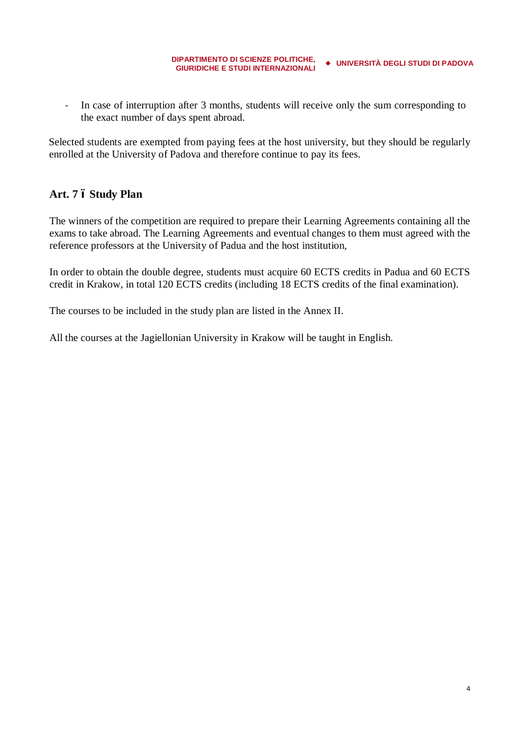- In case of interruption after 3 months, students will receive only the sum corresponding to the exact number of days spent abroad.

Selected students are exempted from paying fees at the host university, but they should be regularly enrolled at the University of Padova and therefore continue to pay its fees.

# **Art. 7 – Study Plan**

The winners of the competition are required to prepare their Learning Agreements containing all the exams to take abroad. The Learning Agreements and eventual changes to them must agreed with the reference professors at the University of Padua and the host institution,

In order to obtain the double degree, students must acquire 60 ECTS credits in Padua and 60 ECTS credit in Krakow, in total 120 ECTS credits (including 18 ECTS credits of the final examination).

The courses to be included in the study plan are listed in the Annex II.

All the courses at the Jagiellonian University in Krakow will be taught in English.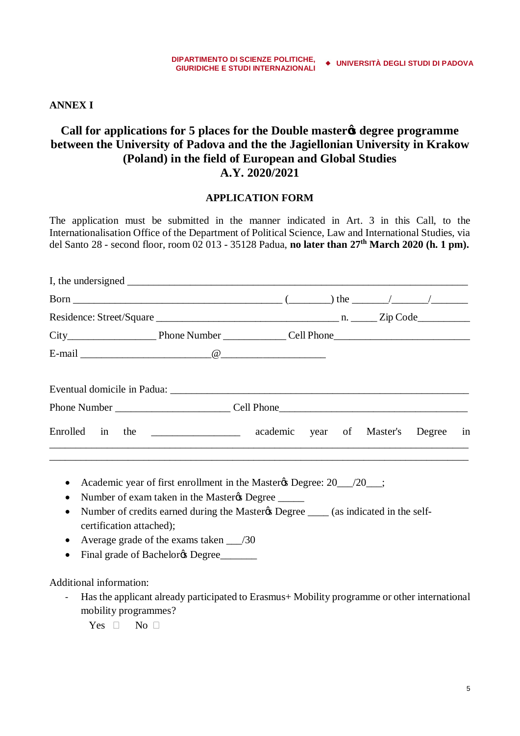**ANNEX I**

# **Call for applications for 5 places for the Double master's degree programme between the University of Padova and the the Jagiellonian University in Krakow (Poland) in the field of European and Global Studies A.Y. 2020/2021**

### **APPLICATION FORM**

The application must be submitted in the manner indicated in Art. 3 in this Call, to the Internationalisation Office of the Department of Political Science, Law and International Studies, via del Santo 28 - second floor, room 02 013 - 35128 Padua, **no later than 27th March 2020 (h. 1 pm).**

| Enrolled in the ______________ academic year of Master's Degree in |  |  |  |  |
|--------------------------------------------------------------------|--|--|--|--|
|                                                                    |  |  |  |  |

- Academic year of first enrollment in the Master & Degree: 20 /20 ;
- Number of exam taken in the Master & Degree
- Number of credits earned during the Master & Degree (as indicated in the selfcertification attached);
- Average grade of the exams taken /30
- Final grade of Bachelor & Degree

Additional information:

- Has the applicant already participated to Erasmus+ Mobility programme or other international mobility programmes?

Yes No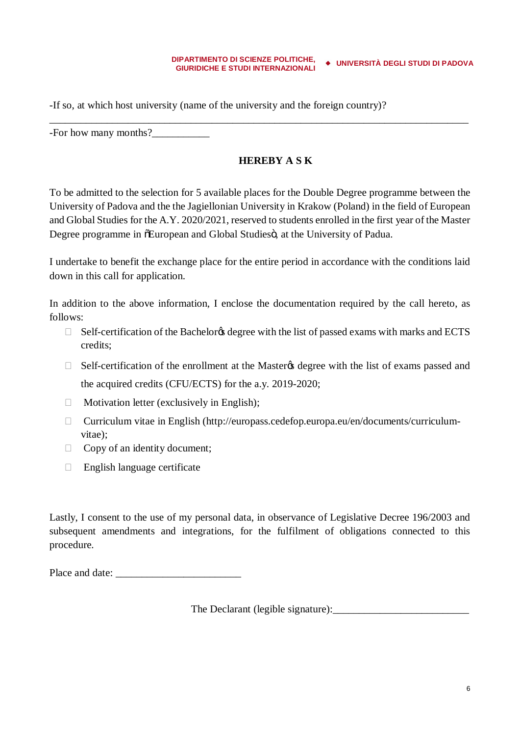-If so, at which host university (name of the university and the foreign country)?

-For how many months?

## **HEREBY A S K**

To be admitted to the selection for 5 available places for the Double Degree programme between the University of Padova and the the Jagiellonian University in Krakow (Poland) in the field of European and Global Studies for the A.Y. 2020/2021, reserved to students enrolled in the first year of the Master Degree programme in  $\delta$ European and Global Studies $\ddot{\sigma}$ , at the University of Padua.

\_\_\_\_\_\_\_\_\_\_\_\_\_\_\_\_\_\_\_\_\_\_\_\_\_\_\_\_\_\_\_\_\_\_\_\_\_\_\_\_\_\_\_\_\_\_\_\_\_\_\_\_\_\_\_\_\_\_\_\_\_\_\_\_\_\_\_\_\_\_\_\_\_\_\_\_\_\_\_\_

I undertake to benefit the exchange place for the entire period in accordance with the conditions laid down in this call for application.

In addition to the above information, I enclose the documentation required by the call hereto, as follows:

Self-certification of the Bachelor agency with the list of passed exams with marks and ECTS credits;

Self-certification of the enrollment at the Master the degree with the list of exams passed and

the acquired credits (CFU/ECTS) for the a.y. 2019-2020;

Motivation letter (exclusively in English);

 Curriculum vitae in English (http://europass.cedefop.europa.eu/en/documents/curriculumvitae);

Copy of an identity document;

English language certificate

Lastly, I consent to the use of my personal data, in observance of Legislative Decree 196/2003 and subsequent amendments and integrations, for the fulfilment of obligations connected to this procedure.

Place and date:

The Declarant (legible signature):